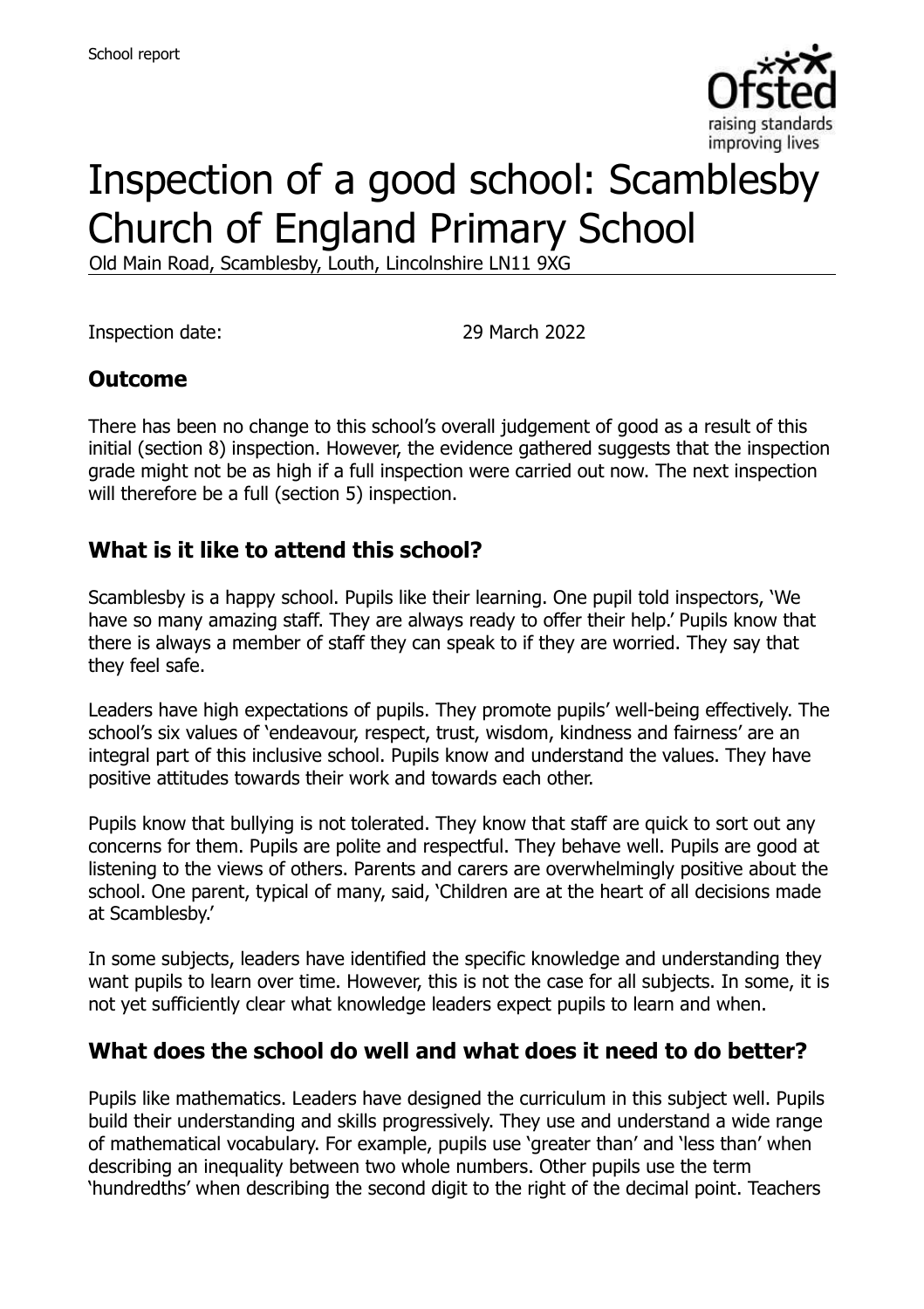

# Inspection of a good school: Scamblesby Church of England Primary School

Old Main Road, Scamblesby, Louth, Lincolnshire LN11 9XG

Inspection date: 29 March 2022

### **Outcome**

There has been no change to this school's overall judgement of good as a result of this initial (section 8) inspection. However, the evidence gathered suggests that the inspection grade might not be as high if a full inspection were carried out now. The next inspection will therefore be a full (section 5) inspection.

### **What is it like to attend this school?**

Scamblesby is a happy school. Pupils like their learning. One pupil told inspectors, 'We have so many amazing staff. They are always ready to offer their help.' Pupils know that there is always a member of staff they can speak to if they are worried. They say that they feel safe.

Leaders have high expectations of pupils. They promote pupils' well-being effectively. The school's six values of 'endeavour, respect, trust, wisdom, kindness and fairness' are an integral part of this inclusive school. Pupils know and understand the values. They have positive attitudes towards their work and towards each other.

Pupils know that bullying is not tolerated. They know that staff are quick to sort out any concerns for them. Pupils are polite and respectful. They behave well. Pupils are good at listening to the views of others. Parents and carers are overwhelmingly positive about the school. One parent, typical of many, said, 'Children are at the heart of all decisions made at Scamblesby.'

In some subjects, leaders have identified the specific knowledge and understanding they want pupils to learn over time. However, this is not the case for all subjects. In some, it is not yet sufficiently clear what knowledge leaders expect pupils to learn and when.

### **What does the school do well and what does it need to do better?**

Pupils like mathematics. Leaders have designed the curriculum in this subject well. Pupils build their understanding and skills progressively. They use and understand a wide range of mathematical vocabulary. For example, pupils use 'greater than' and 'less than' when describing an inequality between two whole numbers. Other pupils use the term 'hundredths' when describing the second digit to the right of the decimal point. Teachers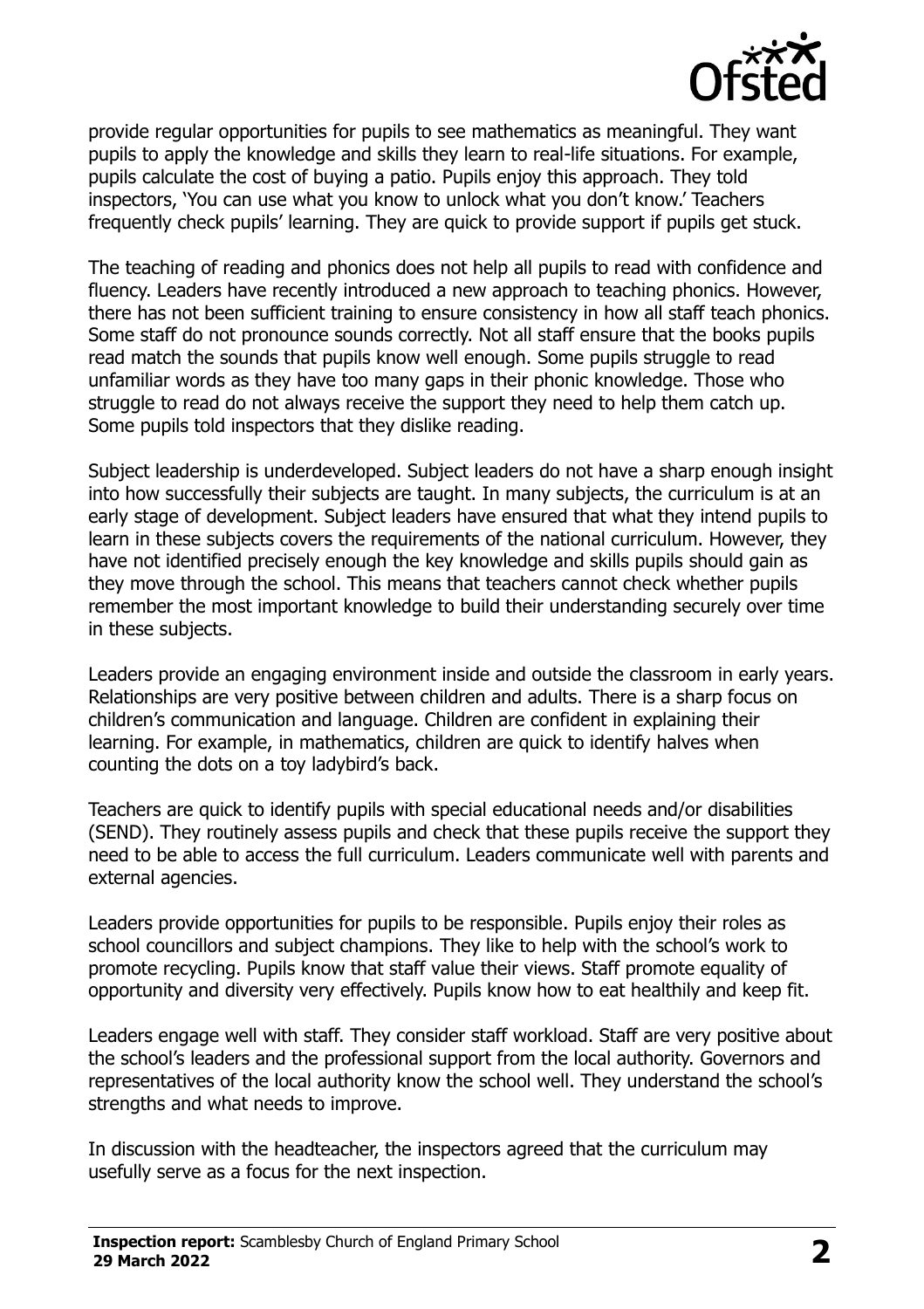

provide regular opportunities for pupils to see mathematics as meaningful. They want pupils to apply the knowledge and skills they learn to real-life situations. For example, pupils calculate the cost of buying a patio. Pupils enjoy this approach. They told inspectors, 'You can use what you know to unlock what you don't know.' Teachers frequently check pupils' learning. They are quick to provide support if pupils get stuck.

The teaching of reading and phonics does not help all pupils to read with confidence and fluency. Leaders have recently introduced a new approach to teaching phonics. However, there has not been sufficient training to ensure consistency in how all staff teach phonics. Some staff do not pronounce sounds correctly. Not all staff ensure that the books pupils read match the sounds that pupils know well enough. Some pupils struggle to read unfamiliar words as they have too many gaps in their phonic knowledge. Those who struggle to read do not always receive the support they need to help them catch up. Some pupils told inspectors that they dislike reading.

Subject leadership is underdeveloped. Subject leaders do not have a sharp enough insight into how successfully their subjects are taught. In many subjects, the curriculum is at an early stage of development. Subject leaders have ensured that what they intend pupils to learn in these subjects covers the requirements of the national curriculum. However, they have not identified precisely enough the key knowledge and skills pupils should gain as they move through the school. This means that teachers cannot check whether pupils remember the most important knowledge to build their understanding securely over time in these subjects.

Leaders provide an engaging environment inside and outside the classroom in early years. Relationships are very positive between children and adults. There is a sharp focus on children's communication and language. Children are confident in explaining their learning. For example, in mathematics, children are quick to identify halves when counting the dots on a toy ladybird's back.

Teachers are quick to identify pupils with special educational needs and/or disabilities (SEND). They routinely assess pupils and check that these pupils receive the support they need to be able to access the full curriculum. Leaders communicate well with parents and external agencies.

Leaders provide opportunities for pupils to be responsible. Pupils enjoy their roles as school councillors and subject champions. They like to help with the school's work to promote recycling. Pupils know that staff value their views. Staff promote equality of opportunity and diversity very effectively. Pupils know how to eat healthily and keep fit.

Leaders engage well with staff. They consider staff workload. Staff are very positive about the school's leaders and the professional support from the local authority. Governors and representatives of the local authority know the school well. They understand the school's strengths and what needs to improve.

In discussion with the headteacher, the inspectors agreed that the curriculum may usefully serve as a focus for the next inspection.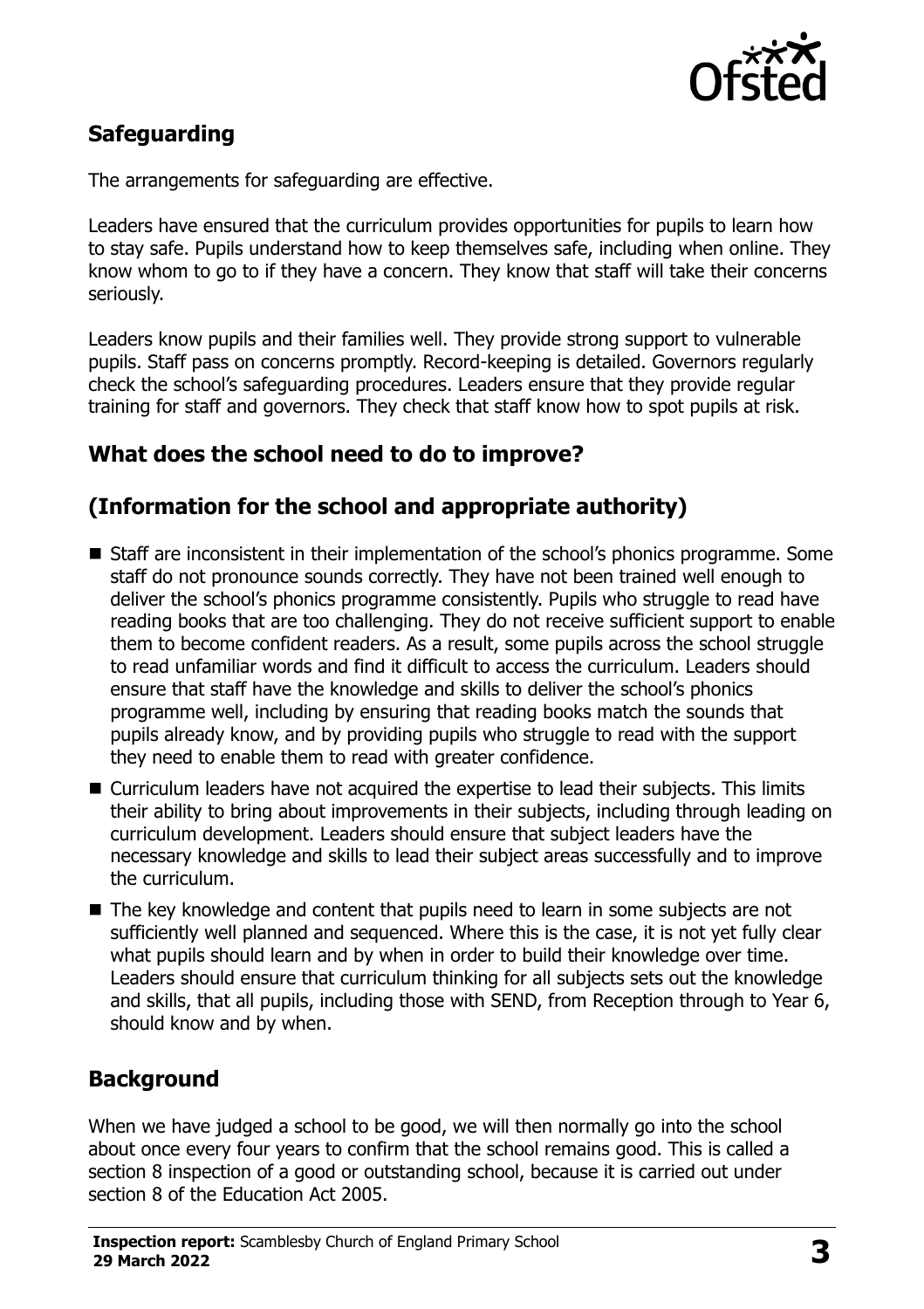

# **Safeguarding**

The arrangements for safeguarding are effective.

Leaders have ensured that the curriculum provides opportunities for pupils to learn how to stay safe. Pupils understand how to keep themselves safe, including when online. They know whom to go to if they have a concern. They know that staff will take their concerns seriously.

Leaders know pupils and their families well. They provide strong support to vulnerable pupils. Staff pass on concerns promptly. Record-keeping is detailed. Governors regularly check the school's safeguarding procedures. Leaders ensure that they provide regular training for staff and governors. They check that staff know how to spot pupils at risk.

# **What does the school need to do to improve?**

# **(Information for the school and appropriate authority)**

- Staff are inconsistent in their implementation of the school's phonics programme. Some staff do not pronounce sounds correctly. They have not been trained well enough to deliver the school's phonics programme consistently. Pupils who struggle to read have reading books that are too challenging. They do not receive sufficient support to enable them to become confident readers. As a result, some pupils across the school struggle to read unfamiliar words and find it difficult to access the curriculum. Leaders should ensure that staff have the knowledge and skills to deliver the school's phonics programme well, including by ensuring that reading books match the sounds that pupils already know, and by providing pupils who struggle to read with the support they need to enable them to read with greater confidence.
- Curriculum leaders have not acquired the expertise to lead their subjects. This limits their ability to bring about improvements in their subjects, including through leading on curriculum development. Leaders should ensure that subject leaders have the necessary knowledge and skills to lead their subject areas successfully and to improve the curriculum.
- The key knowledge and content that pupils need to learn in some subjects are not sufficiently well planned and sequenced. Where this is the case, it is not yet fully clear what pupils should learn and by when in order to build their knowledge over time. Leaders should ensure that curriculum thinking for all subjects sets out the knowledge and skills, that all pupils, including those with SEND, from Reception through to Year 6, should know and by when.

### **Background**

When we have judged a school to be good, we will then normally go into the school about once every four years to confirm that the school remains good. This is called a section 8 inspection of a good or outstanding school, because it is carried out under section 8 of the Education Act 2005.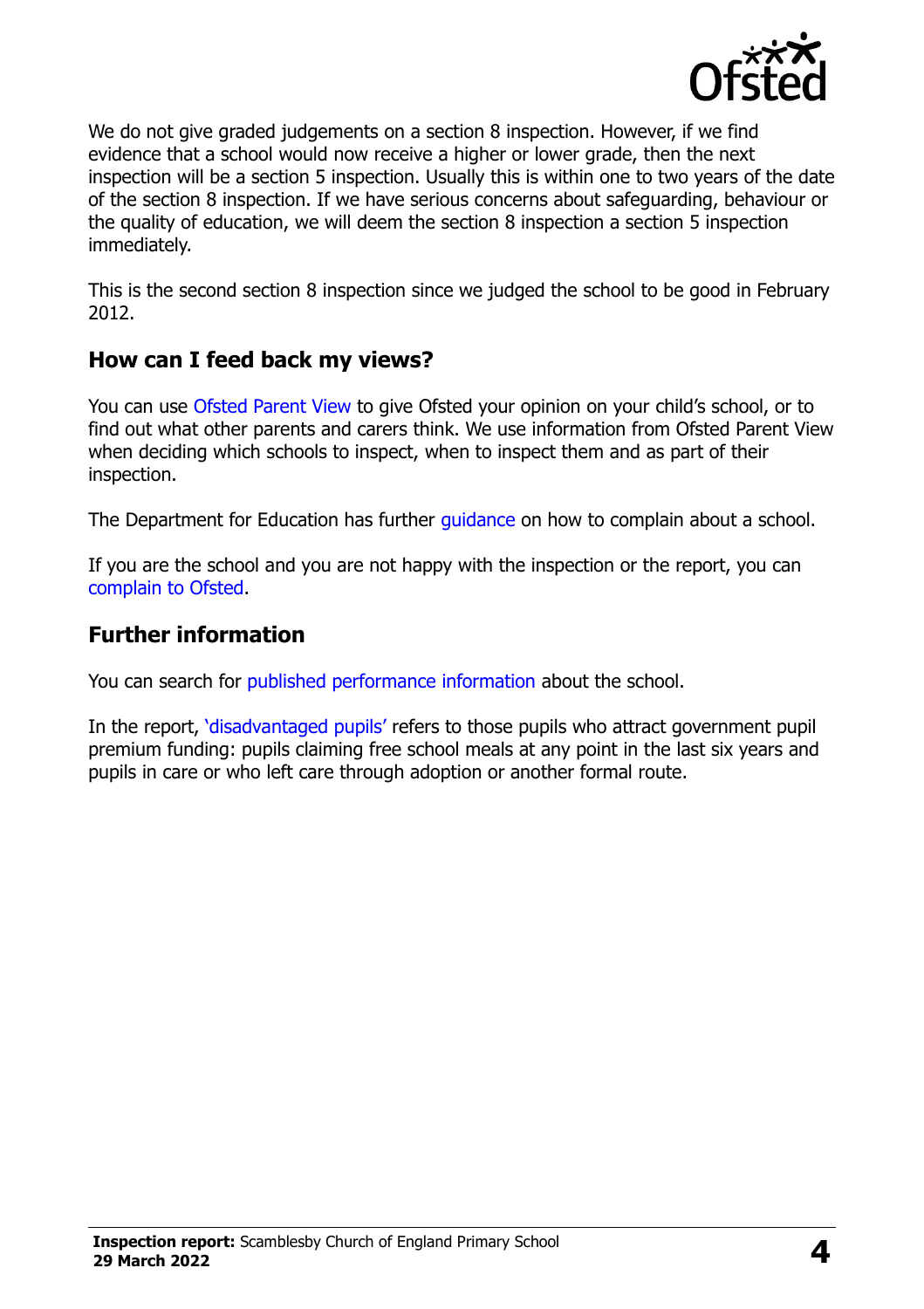

We do not give graded judgements on a section 8 inspection. However, if we find evidence that a school would now receive a higher or lower grade, then the next inspection will be a section 5 inspection. Usually this is within one to two years of the date of the section 8 inspection. If we have serious concerns about safeguarding, behaviour or the quality of education, we will deem the section 8 inspection a section 5 inspection immediately.

This is the second section 8 inspection since we judged the school to be good in February 2012.

# **How can I feed back my views?**

You can use [Ofsted Parent View](https://parentview.ofsted.gov.uk/) to give Ofsted your opinion on your child's school, or to find out what other parents and carers think. We use information from Ofsted Parent View when deciding which schools to inspect, when to inspect them and as part of their inspection.

The Department for Education has further quidance on how to complain about a school.

If you are the school and you are not happy with the inspection or the report, you can [complain to Ofsted.](https://www.gov.uk/complain-ofsted-report)

### **Further information**

You can search for [published performance information](http://www.compare-school-performance.service.gov.uk/) about the school.

In the report, '[disadvantaged pupils](http://www.gov.uk/guidance/pupil-premium-information-for-schools-and-alternative-provision-settings)' refers to those pupils who attract government pupil premium funding: pupils claiming free school meals at any point in the last six years and pupils in care or who left care through adoption or another formal route.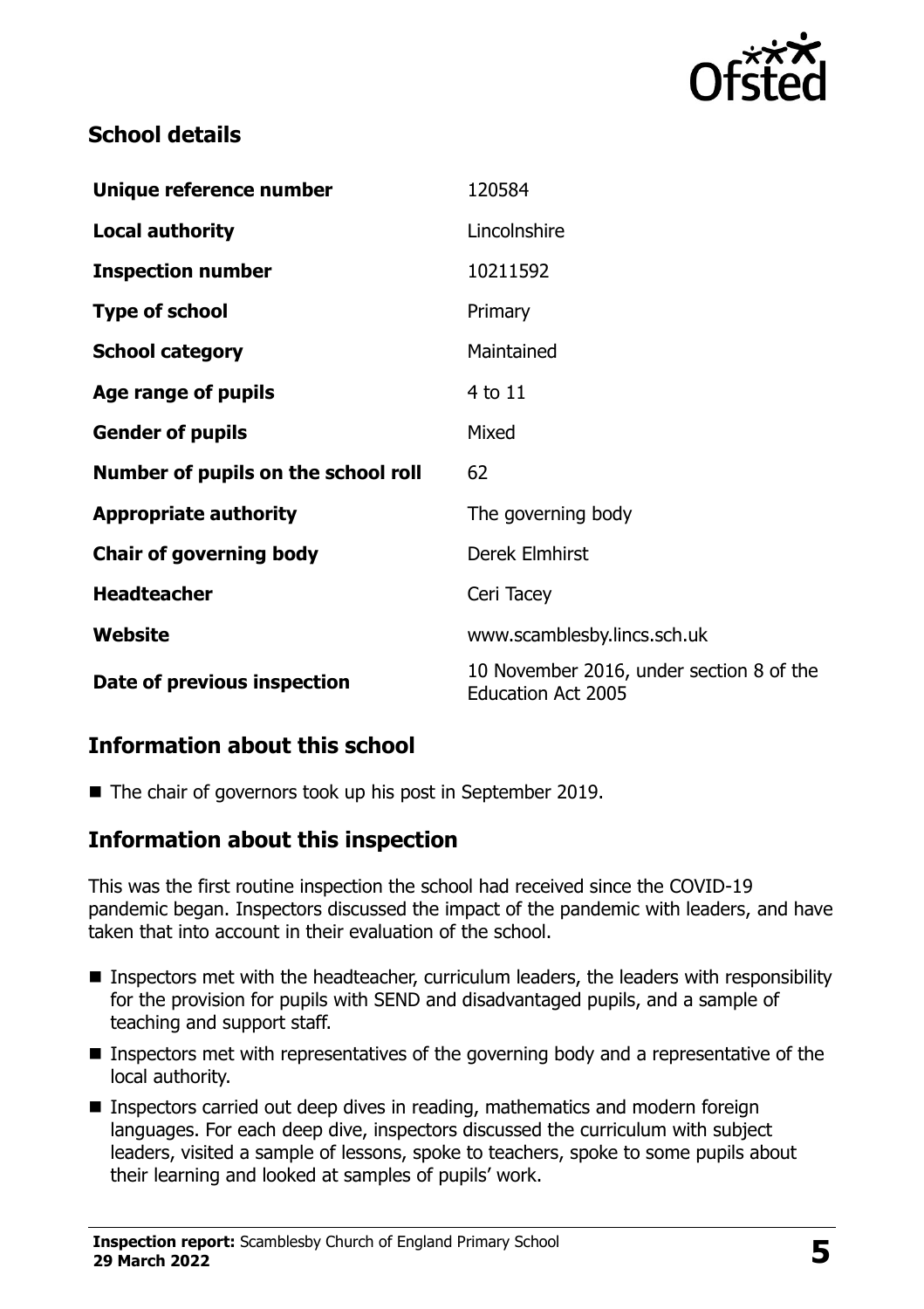

# **School details**

| Unique reference number             | 120584                                                                |
|-------------------------------------|-----------------------------------------------------------------------|
| <b>Local authority</b>              | Lincolnshire                                                          |
| <b>Inspection number</b>            | 10211592                                                              |
| <b>Type of school</b>               | Primary                                                               |
| <b>School category</b>              | Maintained                                                            |
| Age range of pupils                 | 4 to 11                                                               |
| <b>Gender of pupils</b>             | Mixed                                                                 |
| Number of pupils on the school roll | 62                                                                    |
| <b>Appropriate authority</b>        | The governing body                                                    |
| <b>Chair of governing body</b>      | Derek Elmhirst                                                        |
| <b>Headteacher</b>                  | Ceri Tacey                                                            |
| Website                             | www.scamblesby.lincs.sch.uk                                           |
| Date of previous inspection         | 10 November 2016, under section 8 of the<br><b>Education Act 2005</b> |

### **Information about this school**

■ The chair of governors took up his post in September 2019.

### **Information about this inspection**

This was the first routine inspection the school had received since the COVID-19 pandemic began. Inspectors discussed the impact of the pandemic with leaders, and have taken that into account in their evaluation of the school.

- **Inspectors met with the headteacher, curriculum leaders, the leaders with responsibility** for the provision for pupils with SEND and disadvantaged pupils, and a sample of teaching and support staff.
- **Inspectors met with representatives of the governing body and a representative of the** local authority.
- **Inspectors carried out deep dives in reading, mathematics and modern foreign** languages. For each deep dive, inspectors discussed the curriculum with subject leaders, visited a sample of lessons, spoke to teachers, spoke to some pupils about their learning and looked at samples of pupils' work.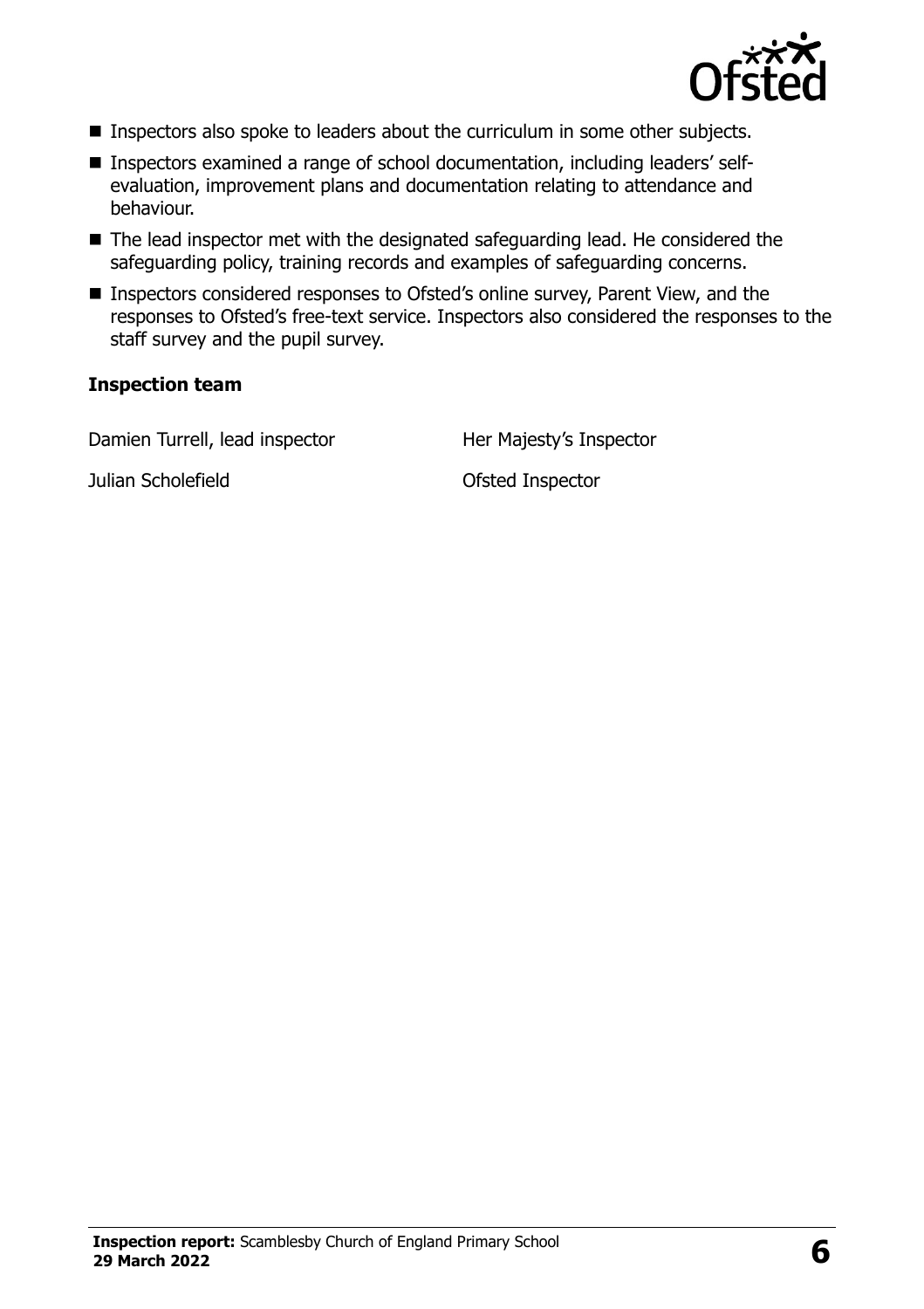

- **Inspectors also spoke to leaders about the curriculum in some other subjects.**
- Inspectors examined a range of school documentation, including leaders' selfevaluation, improvement plans and documentation relating to attendance and behaviour.
- The lead inspector met with the designated safeguarding lead. He considered the safeguarding policy, training records and examples of safeguarding concerns.
- Inspectors considered responses to Ofsted's online survey, Parent View, and the responses to Ofsted's free-text service. Inspectors also considered the responses to the staff survey and the pupil survey.

#### **Inspection team**

Damien Turrell, lead inspector Her Majesty's Inspector

Julian Scholefield Ofsted Inspector